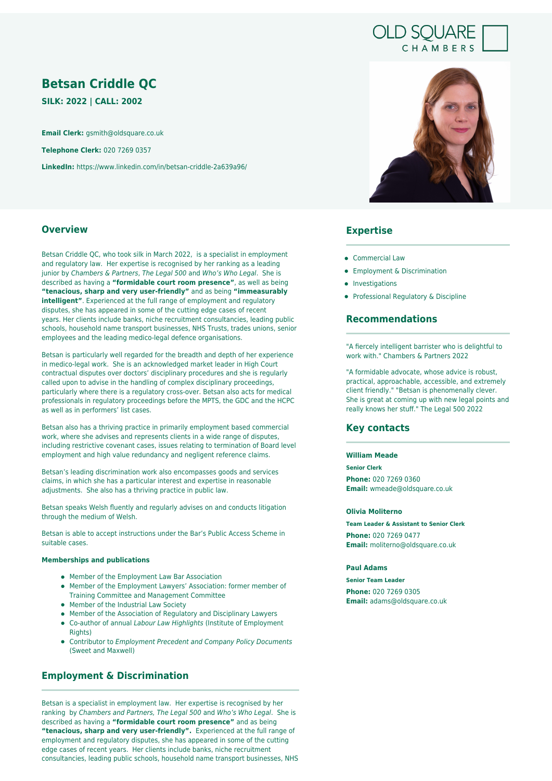# **OLD SQUARE** CHAMBERS

# **Betsan Criddle QC**

**SILK: 2022 | CALL: 2002**

**Email Clerk:** gsmith@oldsquare.co.uk

**Telephone Clerk:** 020 7269 0357

**LinkedIn:** https://www.linkedin.com/in/betsan-criddle-2a639a96/

## **Overview**

Betsan Criddle QC, who took silk in March 2022, is a specialist in employment and regulatory law. Her expertise is recognised by her ranking as a leading junior by Chambers & Partners, The Legal 500 and Who's Who Legal. She is described as having a **"formidable court room presence"**, as well as being **"tenacious, sharp and very user-friendly"** and as being **"immeasurably intelligent"**. Experienced at the full range of employment and regulatory disputes, she has appeared in some of the cutting edge cases of recent years. Her clients include banks, niche recruitment consultancies, leading public schools, household name transport businesses, NHS Trusts, trades unions, senior employees and the leading medico-legal defence organisations.

Betsan is particularly well regarded for the breadth and depth of her experience in medico-legal work. She is an acknowledged market leader in High Court contractual disputes over doctors' disciplinary procedures and she is regularly called upon to advise in the handling of complex disciplinary proceedings, particularly where there is a regulatory cross-over. Betsan also acts for medical professionals in regulatory proceedings before the MPTS, the GDC and the HCPC as well as in performers' list cases.

Betsan also has a thriving practice in primarily employment based commercial work, where she advises and represents clients in a wide range of disputes, including restrictive covenant cases, issues relating to termination of Board level employment and high value redundancy and negligent reference claims.

Betsan's leading discrimination work also encompasses goods and services claims, in which she has a particular interest and expertise in reasonable adjustments. She also has a thriving practice in public law.

Betsan speaks Welsh fluently and regularly advises on and conducts litigation through the medium of Welsh.

Betsan is able to accept instructions under the Bar's Public Access Scheme in suitable cases.

#### **Memberships and publications**

- Member of the Employment Law Bar Association
- Member of the Employment Lawyers' Association: former member of Training Committee and Management Committee
- Member of the Industrial Law Society
- Member of the Association of Regulatory and Disciplinary Lawyers
- Co-author of annual Labour Law Highlights (Institute of Employment Rights)
- Contributor to Employment Precedent and Company Policy Documents (Sweet and Maxwell)

# **Employment & Discrimination**

Betsan is a specialist in employment law. Her expertise is recognised by her ranking by Chambers and Partners, The Legal 500 and Who's Who Legal. She is described as having a **"formidable court room presence"** and as being **"tenacious, sharp and very user-friendly".** Experienced at the full range of employment and regulatory disputes, she has appeared in some of the cutting edge cases of recent years. Her clients include banks, niche recruitment consultancies, leading public schools, household name transport businesses, NHS



# **Expertise**

- **Commercial Law**
- **•** Employment & Discrimination
- Investigations
- Professional Regulatory & Discipline

## **Recommendations**

"A fiercely intelligent barrister who is delightful to work with." Chambers & Partners 2022

"A formidable advocate, whose advice is robust, practical, approachable, accessible, and extremely client friendly." "Betsan is phenomenally clever. She is great at coming up with new legal points and really knows her stuff." The Legal 500 2022

## **Key contacts**

## **William Meade**

**Senior Clerk**

**Phone:** 020 7269 0360 **Email:** wmeade@oldsquare.co.uk

#### **Olivia Moliterno**

**Team Leader & Assistant to Senior Clerk Phone:** 020 7269 0477 **Email:** moliterno@oldsquare.co.uk

#### **Paul Adams**

**Senior Team Leader**

**Phone:** 020 7269 0305 **Email:** adams@oldsquare.co.uk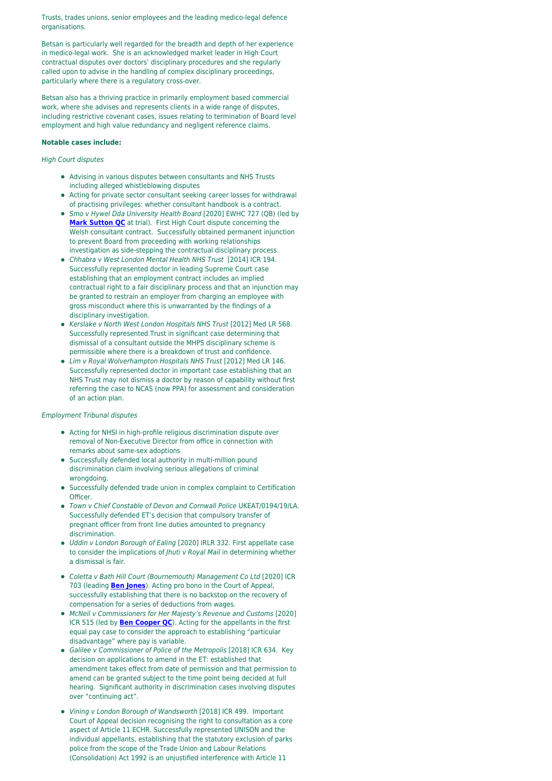Trusts, trades unions, senior employees and the leading medico-legal defence organisations.

Betsan is particularly well regarded for the breadth and depth of her experience in medico-legal work. She is an acknowledged market leader in High Court contractual disputes over doctors' disciplinary procedures and she regularly called upon to advise in the handling of complex disciplinary proceedings, particularly where there is a regulatory cross-over.

Betsan also has a thriving practice in primarily employment based commercial work, where she advises and represents clients in a wide range of disputes, including restrictive covenant cases, issues relating to termination of Board level employment and high value redundancy and negligent reference claims.

#### **Notable cases include:**

#### High Court disputes

- Advising in various disputes between consultants and NHS Trusts including alleged whistleblowing disputes
- Acting for private sector consultant seeking career losses for withdrawal of practising privileges: whether consultant handbook is a contract.
- Smo v Hywel Dda University Health Board [2020] EWHC 727 (QB) (led by **[Mark Sutton QC](https://oldsquare.co.uk/people/mark-sutton-qc/)** at trial). First High Court dispute concerning the Welsh consultant contract. Successfully obtained permanent injunction to prevent Board from proceeding with working relationships investigation as side-stepping the contractual disciplinary process.
- Chhabra v West London Mental Health NHS Trust [2014] ICR 194. Successfully represented doctor in leading Supreme Court case establishing that an employment contract includes an implied contractual right to a fair disciplinary process and that an injunction may be granted to restrain an employer from charging an employee with gross misconduct where this is unwarranted by the findings of a disciplinary investigation.
- Kerslake v North West London Hospitals NHS Trust [2012] Med LR 568. Successfully represented Trust in significant case determining that dismissal of a consultant outside the MHPS disciplinary scheme is permissible where there is a breakdown of trust and confidence.
- Lim v Royal Wolverhampton Hospitals NHS Trust [2012] Med LR 146. Successfully represented doctor in important case establishing that an NHS Trust may not dismiss a doctor by reason of capability without first referring the case to NCAS (now PPA) for assessment and consideration of an action plan.

#### Employment Tribunal disputes

- Acting for NHSI in high-profile religious discrimination dispute over removal of Non-Executive Director from office in connection with remarks about same-sex adoptions
- Successfully defended local authority in multi-million pound discrimination claim involving serious allegations of criminal wrongdoing.
- Successfully defended trade union in complex complaint to Certification Officer.
- Town v Chief Constable of Devon and Cornwall Police UKEAT/0194/19/LA. Successfully defended ET's decision that compulsory transfer of pregnant officer from front line duties amounted to pregnancy discrimination.
- Uddin v London Borough of Ealing [2020] IRLR 332. First appellate case to consider the implications of *Jhuti v Royal Mail* in determining whether a dismissal is fair.
- Coletta v Bath Hill Court (Bournemouth) Management Co Ltd [2020] ICR 703 (leading **[Ben Jones](https://oldsquare.co.uk/people/ben-jones/)**). Acting pro bono in the Court of Appeal, successfully establishing that there is no backstop on the recovery of compensation for a series of deductions from wages.
- McNeil v Commissioners for Her Majesty's Revenue and Customs [2020] ICR 515 (led by **[Ben Cooper QC](https://oldsquare.co.uk/people/ben-cooper-qc/)**). Acting for the appellants in the first equal pay case to consider the approach to establishing "particular disadvantage" where pay is variable.
- Galilee v Commissioner of Police of the Metropolis [2018] ICR 634. Key decision on applications to amend in the ET: established that amendment takes effect from date of permission and that permission to amend can be granted subject to the time point being decided at full hearing. Significant authority in discrimination cases involving disputes over "continuing act".
- Vining v London Borough of Wandsworth [2018] ICR 499. Important Court of Appeal decision recognising the right to consultation as a core aspect of Article 11 ECHR. Successfully represented UNISON and the individual appellants, establishing that the statutory exclusion of parks police from the scope of the Trade Union and Labour Relations (Consolidation) Act 1992 is an unjustified interference with Article 11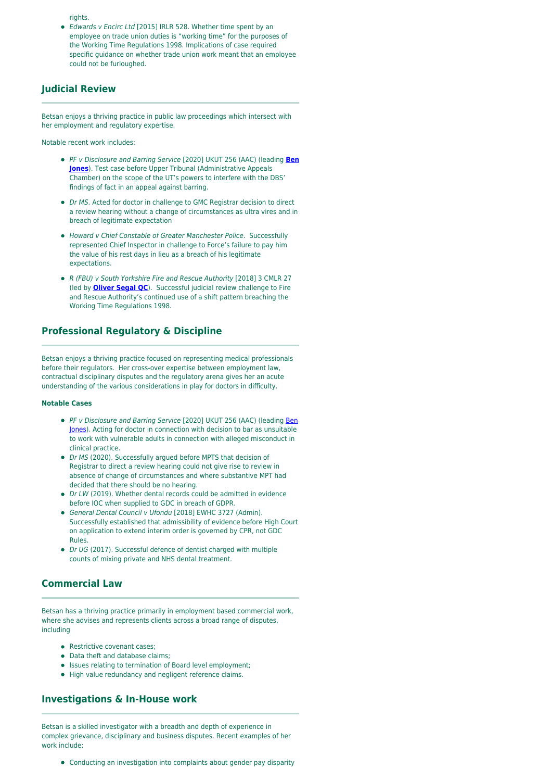rights.

Edwards v Encirc Ltd [2015] IRLR 528. Whether time spent by an employee on trade union duties is "working time" for the purposes of the Working Time Regulations 1998. Implications of case required specific guidance on whether trade union work meant that an employee could not be furloughed.

# **Judicial Review**

Betsan enjoys a thriving practice in public law proceedings which intersect with her employment and regulatory expertise.

Notable recent work includes:

- PF v Disclosure and Barring Service [2020] UKUT 256 (AAC) (leading **[Ben](https://oldsquare.co.uk/people/ben-jones/) [Jones](https://oldsquare.co.uk/people/ben-jones/)**). Test case before Upper Tribunal (Administrative Appeals Chamber) on the scope of the UT's powers to interfere with the DBS' findings of fact in an appeal against barring.
- Dr MS. Acted for doctor in challenge to GMC Registrar decision to direct a review hearing without a change of circumstances as ultra vires and in breach of legitimate expectation
- Howard v Chief Constable of Greater Manchester Police. Successfully represented Chief Inspector in challenge to Force's failure to pay him the value of his rest days in lieu as a breach of his legitimate expectations.
- R (FBU) v South Yorkshire Fire and Rescue Authority [2018] 3 CMLR 27 (led by **[Oliver Segal QC](https://oldsquare.co.uk/people/oliver-segal-qc/)**). Successful judicial review challenge to Fire and Rescue Authority's continued use of a shift pattern breaching the Working Time Regulations 1998.

# **Professional Regulatory & Discipline**

Betsan enjoys a thriving practice focused on representing medical professionals before their regulators. Her cross-over expertise between employment law, contractual disciplinary disputes and the regulatory arena gives her an acute understanding of the various considerations in play for doctors in difficulty.

#### **Notable Cases**

- PF v Disclosure and Barring Service [2020] UKUT 256 (AAC) (leading [Ben](https://oldsquare.co.uk/people/ben-jones/) [Jones](https://oldsquare.co.uk/people/ben-jones/)). Acting for doctor in connection with decision to bar as unsuitable to work with vulnerable adults in connection with alleged misconduct in clinical practice.
- Dr MS (2020). Successfully argued before MPTS that decision of Registrar to direct a review hearing could not give rise to review in absence of change of circumstances and where substantive MPT had decided that there should be no hearing.
- Dr LW (2019). Whether dental records could be admitted in evidence before IOC when supplied to GDC in breach of GDPR.
- General Dental Council v Ufondu [2018] EWHC 3727 (Admin). Successfully established that admissibility of evidence before High Court on application to extend interim order is governed by CPR, not GDC Rules.
- Dr UG (2017). Successful defence of dentist charged with multiple counts of mixing private and NHS dental treatment.

## **Commercial Law**

Betsan has a thriving practice primarily in employment based commercial work, where she advises and represents clients across a broad range of disputes, including

- **•** Restrictive covenant cases:
- Data theft and database claims;
- Issues relating to termination of Board level employment;
- $\bullet$  High value redundancy and negligent reference claims.

## **Investigations & In-House work**

Betsan is a skilled investigator with a breadth and depth of experience in complex grievance, disciplinary and business disputes. Recent examples of her work include:

Conducting an investigation into complaints about gender pay disparity